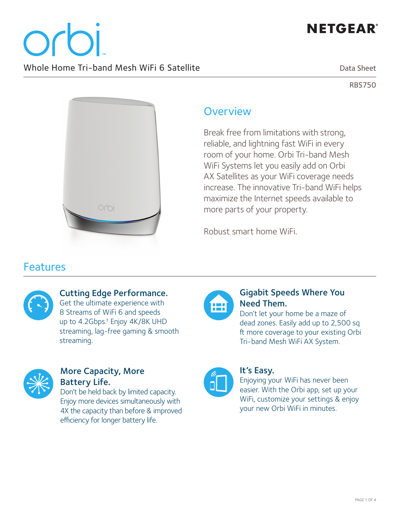# **NETGEAR®**

Whole Home Tri-band Mesh WiFi 6 Satellite

Data Sheet

RBS750



### **Overview**

Break free from limitations with strong, reliable, and lightning fast WiFi in every room of your home. Orbi Tri-band Mesh WiFi Systems let you easily add on Orbi AX Satellites as your WiFi coverage needs increase. The innovative Tri-band WiFi helps maximize the Internet speeds available to more parts of your property.

Robust smart home WiFi.

#### Features



#### Cutting Edge Performance.

Get the ultimate experience with 8 Streams of WiFi 6 and speeds up to 4.2Gbps.† Enjoy 4K/8K UHD streaming, lag-free gaming & smooth streaming.



#### More Capacity, More Battery Life.

Don't be held back by limited capacity. Enjoy more devices simultaneously with 4X the capacity than before & improved efficiency for longer battery life.



#### Gigabit Speeds Where You Need Them.

Don't let your home be a maze of dead zones. Easily add up to 2,500 sq ft more coverage to your existing Orbi Tri-band Mesh WiFi AX System.



#### It's Easy.

Enjoying your WiFi has never been easier. With the Orbi app, set up your WiFi, customize your settings & enjoy your new Orbi WiFi in minutes.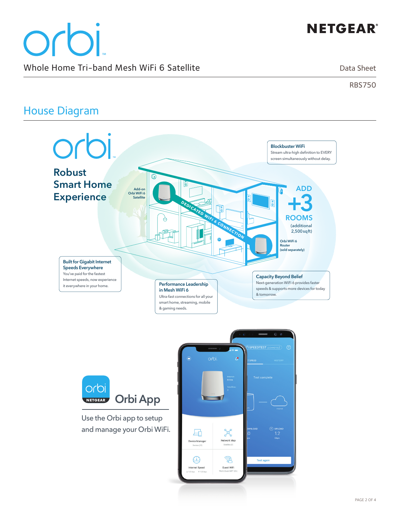# **NETGEAR®**

orbi Whole Home Tri-band Mesh WiFi 6 Satellite

Data Sheet

RBS750

#### House Diagram

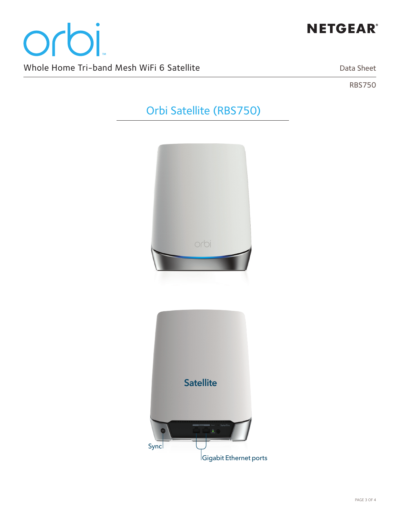

# orbi Whole Home Tri-band Mesh WiFi 6 Satellite

Data Sheet

RBS750

## Orbi Satellite (RBS750)